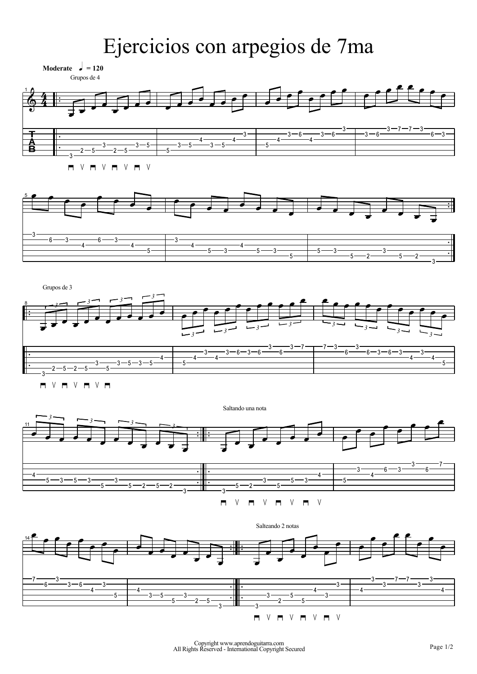## Ejercicios con arpegios de 7ma

**Moderate**  $\boldsymbol{\downarrow} = 120$ 





8  $\mathfrak{c}$ Grupos de 3 J<br>J  $\overline{a}$ B & U<br>J # Į & Į  $\mathsf{I}$ l<br>J <u>უ</u> B  $\mathsf{I}$ l<br>J &  $\blacksquare$  $-3$ l<br>J &  $\blacksquare$  $\cdot$ 4 <sup>B</sup> *<sup>3</sup> <sup>3</sup> <sup>3</sup> <sup>3</sup>* & P  $\cdot$ 4 B  $\cdot$ 3 B  $^4$ B ر<br>= B 6  $\blacksquare$ \$ É -6 É ر<br>= É  $6\,$ É \$ É  $\overline{a}$ É *<sup>3</sup> <sup>3</sup> <sup>3</sup> <sup>3</sup>*  $\overline{a}$ É -3 É ' É ر<br>= É  $6$ e ر<br>= B 6 e ر<br>= B  $^4$ B ر<br>= B  $^4$ B & <sup>B</sup> *<sup>3</sup> <sup>3</sup> <sup>3</sup> <sup>3</sup>*